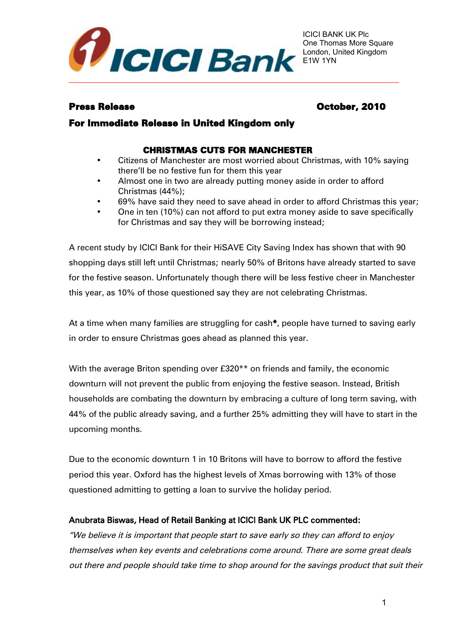

# Press Release **October, 2010**

# For Immediate Release in United Kingdom only

# CHRISTMAS CUTS FOR MANCHESTER

- Citizens of Manchester are most worried about Christmas, with 10% saying there'll be no festive fun for them this year
- Almost one in two are already putting money aside in order to afford Christmas (44%);
- 69% have said they need to save ahead in order to afford Christmas this year;
- One in ten (10%) can not afford to put extra money aside to save specifically for Christmas and say they will be borrowing instead;

A recent study by ICICI Bank for their HiSAVE City Saving Index has shown that with 90 shopping days still left until Christmas; nearly 50% of Britons have already started to save for the festive season. Unfortunately though there will be less festive cheer in Manchester this year, as 10% of those questioned say they are not celebrating Christmas.

At a time when many families are struggling for cash\*, people have turned to saving early in order to ensure Christmas goes ahead as planned this year.

With the average Briton spending over £320\*\* on friends and family, the economic downturn will not prevent the public from enjoying the festive season. Instead, British households are combating the downturn by embracing a culture of long term saving, with 44% of the public already saving, and a further 25% admitting they will have to start in the upcoming months.

Due to the economic downturn 1 in 10 Britons will have to borrow to afford the festive period this year. Oxford has the highest levels of Xmas borrowing with 13% of those questioned admitting to getting a loan to survive the holiday period.

## Anubrata Biswas, Head of Retail Banking at ICICI Bank UK PLC commented:

"We believe it is important that people start to save early so they can afford to enjoy themselves when key events and celebrations come around. There are some great deals out there and people should take time to shop around for the savings product that suit their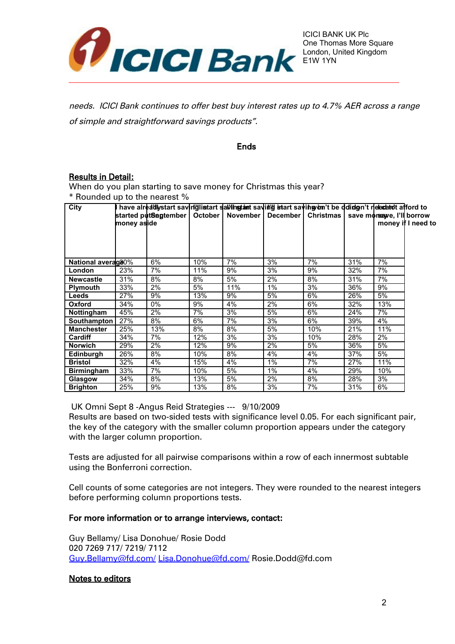

needs. ICICI Bank continues to offer best buy interest rates up to 4.7% AER across a range of simple and straightforward savings products".

#### Ends

## Results in Detail:

When do you plan starting to save money for Christmas this year? \* Rounded up to the nearest %

| City               |             | l have alreadlystart saviriglinstart salvingtant saving istart savingyom't be dolidon't nelectatolt afford to |         |     |                     |           |     |                            |                    |
|--------------------|-------------|---------------------------------------------------------------------------------------------------------------|---------|-----|---------------------|-----------|-----|----------------------------|--------------------|
|                    |             | started putSegtember                                                                                          | October |     | November   December | Christmas |     | save moreague, I'll borrow |                    |
|                    | money aside |                                                                                                               |         |     |                     |           |     |                            | money if I need to |
|                    |             |                                                                                                               |         |     |                     |           |     |                            |                    |
|                    |             |                                                                                                               |         |     |                     |           |     |                            |                    |
|                    |             |                                                                                                               |         |     |                     |           |     |                            |                    |
|                    |             | 6%                                                                                                            |         | 7%  | 3%                  | 7%        |     | 7%                         |                    |
| National average0% |             |                                                                                                               | 10%     |     |                     |           | 31% |                            |                    |
| London             | 23%         | 7%                                                                                                            | 11%     | 9%  | 3%                  | 9%        | 32% | 7%                         |                    |
| <b>Newcastle</b>   | 31%         | 8%                                                                                                            | 8%      | 5%  | 2%                  | 8%        | 31% | 7%                         |                    |
| <b>Plymouth</b>    | 33%         | 2%                                                                                                            | 5%      | 11% | $1\%$               | 3%        | 36% | 9%                         |                    |
| Leeds              | 27%         | 9%                                                                                                            | 13%     | 9%  | 5%                  | 6%        | 26% | 5%                         |                    |
| Oxford             | 34%         | 0%                                                                                                            | 9%      | 4%  | 2%                  | 6%        | 32% | 13%                        |                    |
| <b>Nottingham</b>  | 45%         | 2%                                                                                                            | 7%      | 3%  | 5%                  | 6%        | 24% | 7%                         |                    |
| Southampton        | 27%         | 8%                                                                                                            | 6%      | 7%  | 3%                  | 6%        | 39% | 4%                         |                    |
| <b>Manchester</b>  | 25%         | 13%                                                                                                           | 8%      | 8%  | 5%                  | 10%       | 21% | 11%                        |                    |
| <b>Cardiff</b>     | 34%         | 7%                                                                                                            | 12%     | 3%  | 3%                  | 10%       | 28% | 2%                         |                    |
| <b>Norwich</b>     | 29%         | 2%                                                                                                            | 12%     | 9%  | 2%                  | 5%        | 36% | 5%                         |                    |
| Edinburgh          | 26%         | 8%                                                                                                            | 10%     | 8%  | 4%                  | 4%        | 37% | 5%                         |                    |
| <b>Bristol</b>     | 32%         | 4%                                                                                                            | 15%     | 4%  | $1\%$               | 7%        | 27% | 11%                        |                    |
| <b>Birmingham</b>  | 33%         | 7%                                                                                                            | 10%     | 5%  | 1%                  | 4%        | 29% | 10%                        |                    |
| Glasgow            | 34%         | 8%                                                                                                            | 13%     | 5%  | 2%                  | 8%        | 28% | 3%                         |                    |
| <b>Brighton</b>    | 25%         | 9%                                                                                                            | 13%     | 8%  | 3%                  | 7%        | 31% | 6%                         |                    |

UK Omni Sept 8 -Angus Reid Strategies --- 9/10/2009

Results are based on two-sided tests with significance level 0.05. For each significant pair, the key of the category with the smaller column proportion appears under the category with the larger column proportion.

Tests are adjusted for all pairwise comparisons within a row of each innermost subtable using the Bonferroni correction.

Cell counts of some categories are not integers. They were rounded to the nearest integers before performing column proportions tests.

#### For more information or to arrange interviews, contact:

Guy Bellamy/ Lisa Donohue/ Rosie Dodd 020 7269 717/ 7219/ 7112 [Guy.Bellamy@fd.com/](mailto:Guy.Bellamy@fd.com/) [Lisa.Donohue@fd.com/](mailto:Lisa.Donohue@fd.com/) Rosie.Dodd@fd.com

#### Notes to editors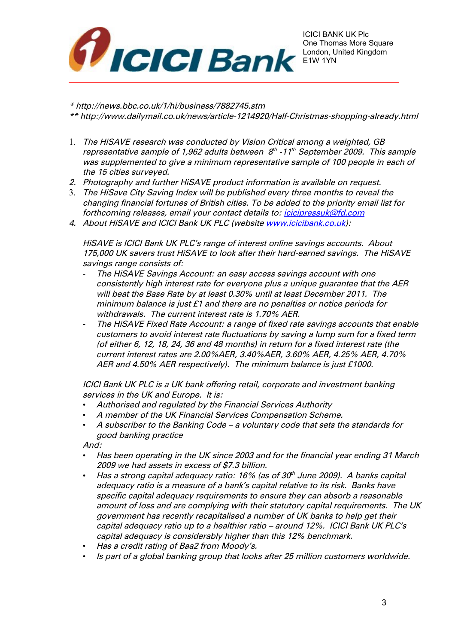

\* http://news.bbc.co.uk/1/hi/business/7882745.stm

\*\* http://www.dailymail.co.uk/news/article-1214920/Half-Christmas-shopping-already.html

- 1. The HiSAVE research was conducted by Vision Critical among a weighted, GB representative sample of 1,962 adults between  $8^{\text{\tiny th}}$  -11 $^{\text{\tiny th}}$  September 2009. This sample was supplemented to give a minimum representative sample of 100 people in each of the 15 cities surveyed.
- 2. Photography and further HiSAVE product information is available on request.
- 3. The HiSave City Saving Index will be published every three months to reveal the changing financial fortunes of British cities. To be added to the priority email list for forthcoming releases, email your contact details to: *icicipressuk@fd.com*
- 4. About HiSAVE and ICICI Bank UK PLC (website [www.icicibank.co.uk\)](http://www.icicibank.co.uk/):

HiSAVE is ICICI Bank UK PLC's range of interest online savings accounts. About 175,000 UK savers trust HiSAVE to look after their hard-earned savings. The HiSAVE savings range consists of:

- The HiSAVE Savings Account: an easy access savings account with one consistently high interest rate for everyone plus a unique guarantee that the AER will beat the Base Rate by at least 0.30% until at least December 2011. The minimum balance is just £1 and there are no penalties or notice periods for withdrawals. The current interest rate is 1.70% AER.
- The HiSAVE Fixed Rate Account: a range of fixed rate savings accounts that enable customers to avoid interest rate fluctuations by saving a lump sum for a fixed term (of either 6, 12, 18, 24, 36 and 48 months) in return for a fixed interest rate (the current interest rates are 2.00%AER, 3.40%AER, 3.60% AER, 4.25% AER, 4.70% AER and 4.50% AER respectively). The minimum balance is just £1000.

ICICI Bank UK PLC is a UK bank offering retail, corporate and investment banking services in the UK and Europe. It is:

- Authorised and regulated by the Financial Services Authority
- A member of the UK Financial Services Compensation Scheme.
- A subscriber to the Banking Code a voluntary code that sets the standards for good banking practice

And:

- Has been operating in the UK since 2003 and for the financial year ending 31 March 2009 we had assets in excess of \$7.3 billion.
- Has a strong capital adequacy ratio: 16% (as of 30th June 2009). A banks capital adequacy ratio is a measure of a bank's capital relative to its risk. Banks have specific capital adequacy requirements to ensure they can absorb a reasonable amount of loss and are complying with their statutory capital requirements. The UK government has recently recapitalised a number of UK banks to help get their capital adequacy ratio up to a healthier ratio – around 12%. ICICI Bank UK PLC's capital adequacy is considerably higher than this 12% benchmark.
- Has a credit rating of Baa2 from Moody's.
- Is part of a global banking group that looks after 25 million customers worldwide.